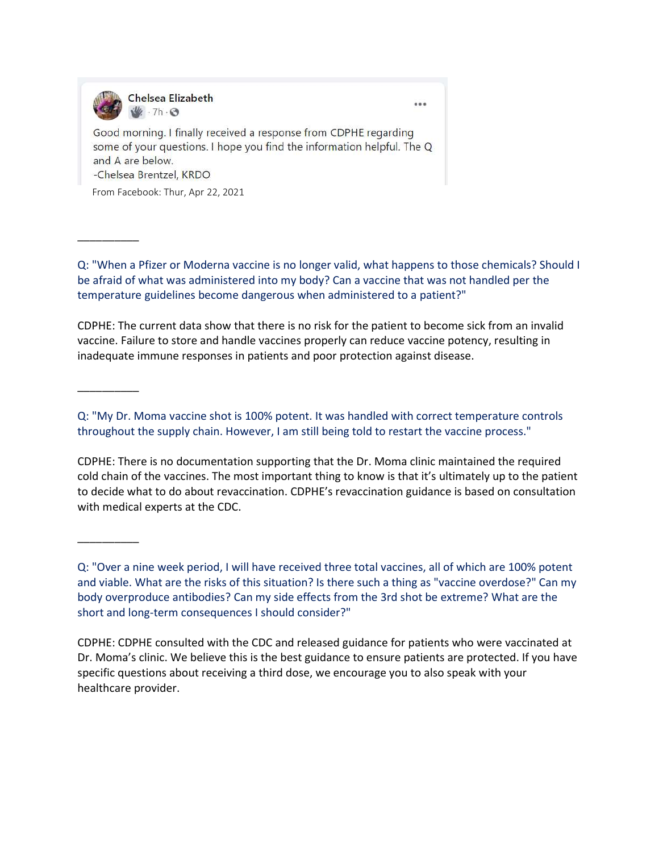

 $...$ 

Good morning. I finally received a response from CDPHE regarding some of your questions. I hope you find the information helpful. The Q and A are below. -Chelsea Brentzel, KRDO

From Facebook: Thur, Apr 22, 2021

Q: "When a Pfizer or Moderna vaccine is no longer valid, what happens to those chemicals? Should I be afraid of what was administered into my body? Can a vaccine that was not handled per the temperature guidelines become dangerous when administered to a patient?"

CDPHE: The current data show that there is no risk for the patient to become sick from an invalid vaccine. Failure to store and handle vaccines properly can reduce vaccine potency, resulting in inadequate immune responses in patients and poor protection against disease.

\_\_\_\_\_\_\_\_\_\_

\_\_\_\_\_\_\_\_\_\_

\_\_\_\_\_\_\_\_\_\_

Q: "My Dr. Moma vaccine shot is 100% potent. It was handled with correct temperature controls throughout the supply chain. However, I am still being told to restart the vaccine process."

CDPHE: There is no documentation supporting that the Dr. Moma clinic maintained the required cold chain of the vaccines. The most important thing to know is that it's ultimately up to the patient to decide what to do about revaccination. CDPHE's revaccination guidance is based on consultation with medical experts at the CDC.

Q: "Over a nine week period, I will have received three total vaccines, all of which are 100% potent and viable. What are the risks of this situation? Is there such a thing as "vaccine overdose?" Can my body overproduce antibodies? Can my side effects from the 3rd shot be extreme? What are the short and long-term consequences I should consider?"

CDPHE: CDPHE consulted with the CDC and released guidance for patients who were vaccinated at Dr. Moma's clinic. We believe this is the best guidance to ensure patients are protected. If you have specific questions about receiving a third dose, we encourage you to also speak with your healthcare provider.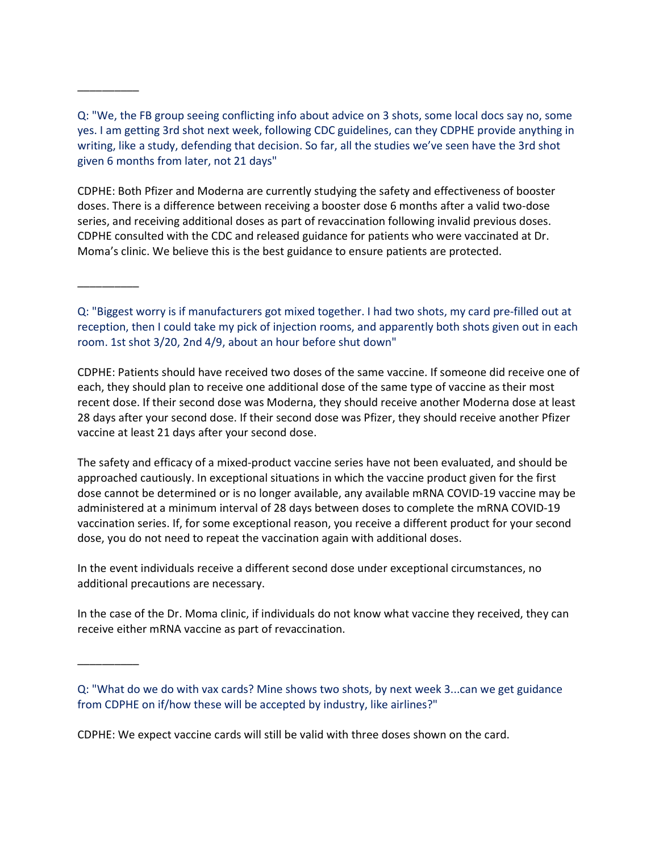Q: "We, the FB group seeing conflicting info about advice on 3 shots, some local docs say no, some yes. I am getting 3rd shot next week, following CDC guidelines, can they CDPHE provide anything in writing, like a study, defending that decision. So far, all the studies we've seen have the 3rd shot given 6 months from later, not 21 days"

\_\_\_\_\_\_\_\_\_\_

\_\_\_\_\_\_\_\_\_\_

\_\_\_\_\_\_\_\_\_\_

CDPHE: Both Pfizer and Moderna are currently studying the safety and effectiveness of booster doses. There is a difference between receiving a booster dose 6 months after a valid two-dose series, and receiving additional doses as part of revaccination following invalid previous doses. CDPHE consulted with the CDC and released guidance for patients who were vaccinated at Dr. Moma's clinic. We believe this is the best guidance to ensure patients are protected.

Q: "Biggest worry is if manufacturers got mixed together. I had two shots, my card pre-filled out at reception, then I could take my pick of injection rooms, and apparently both shots given out in each room. 1st shot 3/20, 2nd 4/9, about an hour before shut down"

CDPHE: Patients should have received two doses of the same vaccine. If someone did receive one of each, they should plan to receive one additional dose of the same type of vaccine as their most recent dose. If their second dose was Moderna, they should receive another Moderna dose at least 28 days after your second dose. If their second dose was Pfizer, they should receive another Pfizer vaccine at least 21 days after your second dose.

The safety and efficacy of a mixed-product vaccine series have not been evaluated, and should be approached cautiously. In exceptional situations in which the vaccine product given for the first dose cannot be determined or is no longer available, any available mRNA COVID-19 vaccine may be administered at a minimum interval of 28 days between doses to complete the mRNA COVID-19 vaccination series. If, for some exceptional reason, you receive a different product for your second dose, you do not need to repeat the vaccination again with additional doses.

In the event individuals receive a different second dose under exceptional circumstances, no additional precautions are necessary.

In the case of the Dr. Moma clinic, if individuals do not know what vaccine they received, they can receive either mRNA vaccine as part of revaccination.

CDPHE: We expect vaccine cards will still be valid with three doses shown on the card.

Q: "What do we do with vax cards? Mine shows two shots, by next week 3...can we get guidance from CDPHE on if/how these will be accepted by industry, like airlines?"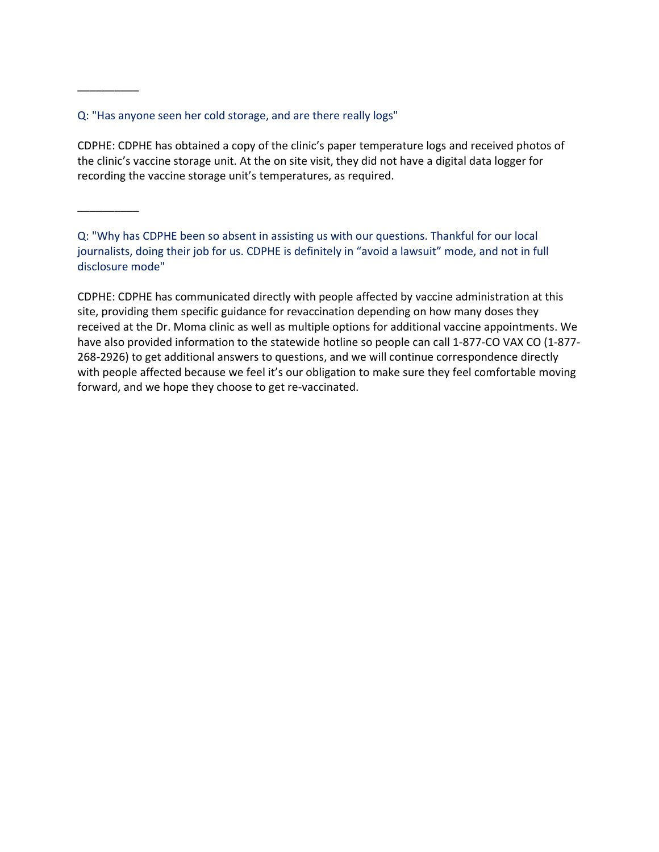## Q: "Has anyone seen her cold storage, and are there really logs"

CDPHE: CDPHE has obtained a copy of the clinic's paper temperature logs and received photos of the clinic's vaccine storage unit. At the on site visit, they did not have a digital data logger for recording the vaccine storage unit's temperatures, as required.

\_\_\_\_\_\_\_\_\_\_

\_\_\_\_\_\_\_\_\_\_

Q: "Why has CDPHE been so absent in assisting us with our questions. Thankful for our local journalists, doing their job for us. CDPHE is definitely in "avoid a lawsuit" mode, and not in full disclosure mode"

CDPHE: CDPHE has communicated directly with people affected by vaccine administration at this site, providing them specific guidance for revaccination depending on how many doses they received at the Dr. Moma clinic as well as multiple options for additional vaccine appointments. We have also provided information to the statewide hotline so people can call 1-877-CO VAX CO (1-877- 268-2926) to get additional answers to questions, and we will continue correspondence directly with people affected because we feel it's our obligation to make sure they feel comfortable moving forward, and we hope they choose to get re-vaccinated.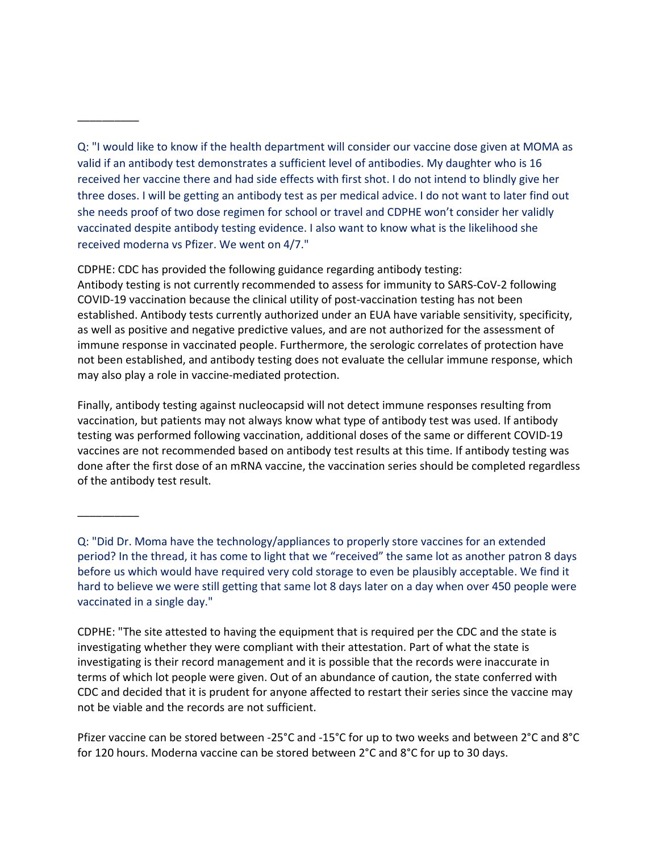\_\_\_\_\_\_\_\_\_\_

\_\_\_\_\_\_\_\_\_\_

CDPHE: CDC has provided the following guidance regarding antibody testing: Antibody testing is not currently recommended to assess for immunity to SARS-CoV-2 following COVID-19 vaccination because the clinical utility of post-vaccination testing has not been established. Antibody tests currently authorized under an EUA have variable sensitivity, specificity, as well as positive and negative predictive values, and are not authorized for the assessment of immune response in vaccinated people. Furthermore, the serologic correlates of protection have not been established, and antibody testing does not evaluate the cellular immune response, which may also play a role in vaccine-mediated protection.

Finally, antibody testing against nucleocapsid will not detect immune responses resulting from vaccination, but patients may not always know what type of antibody test was used. If antibody testing was performed following vaccination, additional doses of the same or different COVID-19 vaccines are not recommended based on antibody test results at this time. If antibody testing was done after the first dose of an mRNA vaccine, the vaccination series should be completed regardless of the antibody test result.

CDPHE: "The site attested to having the equipment that is required per the CDC and the state is investigating whether they were compliant with their attestation. Part of what the state is investigating is their record management and it is possible that the records were inaccurate in terms of which lot people were given. Out of an abundance of caution, the state conferred with CDC and decided that it is prudent for anyone affected to restart their series since the vaccine may not be viable and the records are not sufficient.

Q: "I would like to know if the health department will consider our vaccine dose given at MOMA as valid if an antibody test demonstrates a sufficient level of antibodies. My daughter who is 16 received her vaccine there and had side effects with first shot. I do not intend to blindly give her three doses. I will be getting an antibody test as per medical advice. I do not want to later find out she needs proof of two dose regimen for school or travel and CDPHE won't consider her validly vaccinated despite antibody testing evidence. I also want to know what is the likelihood she received moderna vs Pfizer. We went on 4/7."

Q: "Did Dr. Moma have the technology/appliances to properly store vaccines for an extended period? In the thread, it has come to light that we "received" the same lot as another patron 8 days before us which would have required very cold storage to even be plausibly acceptable. We find it hard to believe we were still getting that same lot 8 days later on a day when over 450 people were vaccinated in a single day."

Pfizer vaccine can be stored between -25°C and -15°C for up to two weeks and between 2°C and 8°C for 120 hours. Moderna vaccine can be stored between 2°C and 8°C for up to 30 days.